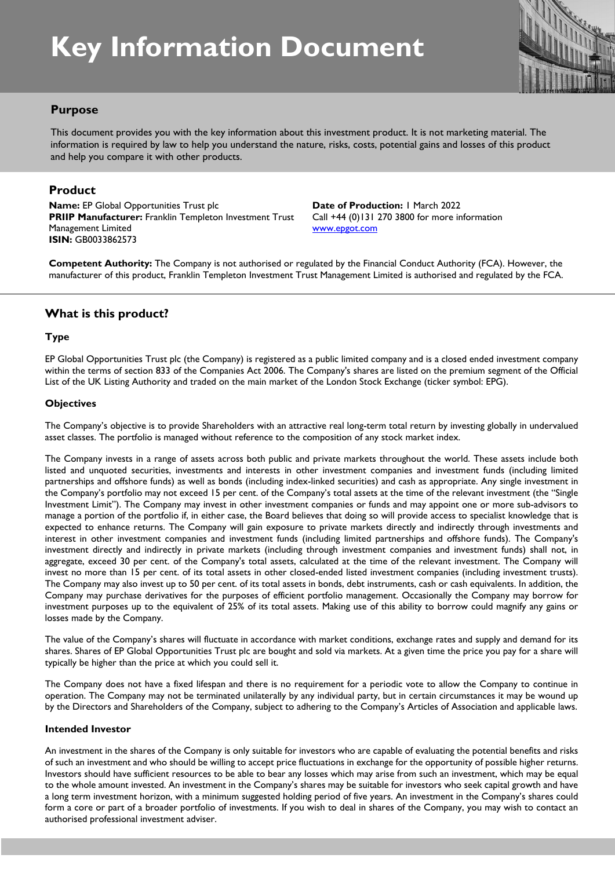# **Key Information Document**



# **Purpose**

This document provides you with the key information about this investment product. It is not marketing material. The information is required by law to help you understand the nature, risks, costs, potential gains and losses of this product and help you compare it with other products.

## **Product**

**Name:** EP Global Opportunities Trust plc **PRIIP Manufacturer:** Franklin Templeton Investment Trust Management Limited **ISIN:** GB0033862573

**Date of Production:** 1 March 2022 Call +44 (0)131 270 3800 for more information www.epgot.com

**Competent Authority:** The Company is not authorised or regulated by the Financial Conduct Authority (FCA). However, the manufacturer of this product, Franklin Templeton Investment Trust Management Limited is authorised and regulated by the FCA.

# **What is this product?**

#### **Type**

EP Global Opportunities Trust plc (the Company) is registered as a public limited company and is a closed ended investment company within the terms of section 833 of the Companies Act 2006. The Company's shares are listed on the premium segment of the Official List of the UK Listing Authority and traded on the main market of the London Stock Exchange (ticker symbol: EPG).

#### **Objectives**

The Company's objective is to provide Shareholders with an attractive real long-term total return by investing globally in undervalued asset classes. The portfolio is managed without reference to the composition of any stock market index.

The Company invests in a range of assets across both public and private markets throughout the world. These assets include both listed and unquoted securities, investments and interests in other investment companies and investment funds (including limited partnerships and offshore funds) as well as bonds (including index-linked securities) and cash as appropriate. Any single investment in the Company's portfolio may not exceed 15 per cent. of the Company's total assets at the time of the relevant investment (the "Single Investment Limit"). The Company may invest in other investment companies or funds and may appoint one or more sub-advisors to manage a portion of the portfolio if, in either case, the Board believes that doing so will provide access to specialist knowledge that is expected to enhance returns. The Company will gain exposure to private markets directly and indirectly through investments and interest in other investment companies and investment funds (including limited partnerships and offshore funds). The Company's investment directly and indirectly in private markets (including through investment companies and investment funds) shall not, in aggregate, exceed 30 per cent. of the Company's total assets, calculated at the time of the relevant investment. The Company will invest no more than 15 per cent. of its total assets in other closed-ended listed investment companies (including investment trusts). The Company may also invest up to 50 per cent. of its total assets in bonds, debt instruments, cash or cash equivalents. In addition, the Company may purchase derivatives for the purposes of efficient portfolio management. Occasionally the Company may borrow for investment purposes up to the equivalent of 25% of its total assets. Making use of this ability to borrow could magnify any gains or losses made by the Company.

The value of the Company's shares will fluctuate in accordance with market conditions, exchange rates and supply and demand for its shares. Shares of EP Global Opportunities Trust plc are bought and sold via markets. At a given time the price you pay for a share will typically be higher than the price at which you could sell it.

The Company does not have a fixed lifespan and there is no requirement for a periodic vote to allow the Company to continue in operation. The Company may not be terminated unilaterally by any individual party, but in certain circumstances it may be wound up by the Directors and Shareholders of the Company, subject to adhering to the Company's Articles of Association and applicable laws.

#### **Intended Investor**

An investment in the shares of the Company is only suitable for investors who are capable of evaluating the potential benefits and risks of such an investment and who should be willing to accept price fluctuations in exchange for the opportunity of possible higher returns. Investors should have sufficient resources to be able to bear any losses which may arise from such an investment, which may be equal to the whole amount invested. An investment in the Company's shares may be suitable for investors who seek capital growth and have a long term investment horizon, with a minimum suggested holding period of five years. An investment in the Company's shares could form a core or part of a broader portfolio of investments. If you wish to deal in shares of the Company, you may wish to contact an authorised professional investment adviser.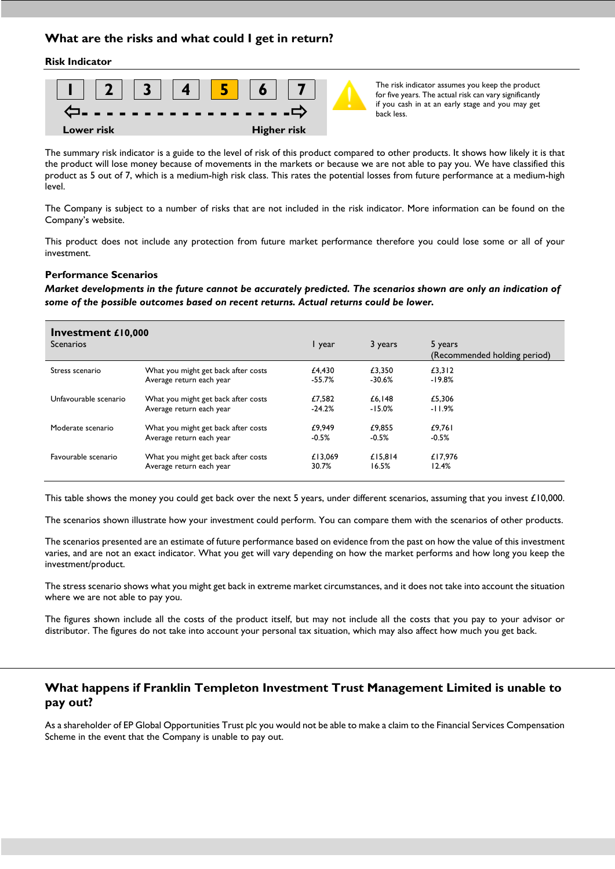# **What are the risks and what could I get in return?**

#### **Risk Indicator**



if you cash in at an early stage and you may get **- - - - - - - - - - - - - - - - -** back less.

The summary risk indicator is a guide to the level of risk of this product compared to other products. It shows how likely it is that the product will lose money because of movements in the markets or because we are not able to pay you. We have classified this product as 5 out of 7, which is a medium-high risk class. This rates the potential losses from future performance at a medium-high level.

The Company is subject to a number of risks that are not included in the risk indicator. More information can be found on the Company's website.

This product does not include any protection from future market performance therefore you could lose some or all of your investment.

#### **Performance Scenarios**

*Market developments in the future cannot be accurately predicted. The scenarios shown are only an indication of some of the possible outcomes based on recent returns. Actual returns could be lower.*

| Investment $£10,000$<br><b>Scenarios</b> |                                     | I year   | 3 years  | 5 years<br>(Recommended holding period) |
|------------------------------------------|-------------------------------------|----------|----------|-----------------------------------------|
| Stress scenario                          | What you might get back after costs | £4,430   | £3.350   | £3,312                                  |
|                                          | Average return each year            | $-55.7%$ | $-30.6%$ | $-19.8%$                                |
| Unfavourable scenario                    | What you might get back after costs | £7.582   | £6.148   | £5.306                                  |
|                                          | Average return each year            | $-24.2%$ | $-15.0%$ | $-11.9%$                                |
| Moderate scenario                        | What you might get back after costs | £9.949   | £9.855   | £9.761                                  |
|                                          | Average return each year            | $-0.5%$  | $-0.5%$  | $-0.5%$                                 |
| Favourable scenario                      | What you might get back after costs | £13.069  | £15.814  | £17.976                                 |
|                                          | Average return each year            | 30.7%    | 16.5%    | 12.4%                                   |

This table shows the money you could get back over the next 5 years, under different scenarios, assuming that you invest £10,000.

The scenarios shown illustrate how your investment could perform. You can compare them with the scenarios of other products.

The scenarios presented are an estimate of future performance based on evidence from the past on how the value of this investment varies, and are not an exact indicator. What you get will vary depending on how the market performs and how long you keep the investment/product.

The stress scenario shows what you might get back in extreme market circumstances, and it does not take into account the situation where we are not able to pay you.

The figures shown include all the costs of the product itself, but may not include all the costs that you pay to your advisor or distributor. The figures do not take into account your personal tax situation, which may also affect how much you get back.

## **What happens if Franklin Templeton Investment Trust Management Limited is unable to pay out?**

As a shareholder of EP Global Opportunities Trust plc you would not be able to make a claim to the Financial Services Compensation Scheme in the event that the Company is unable to pay out.